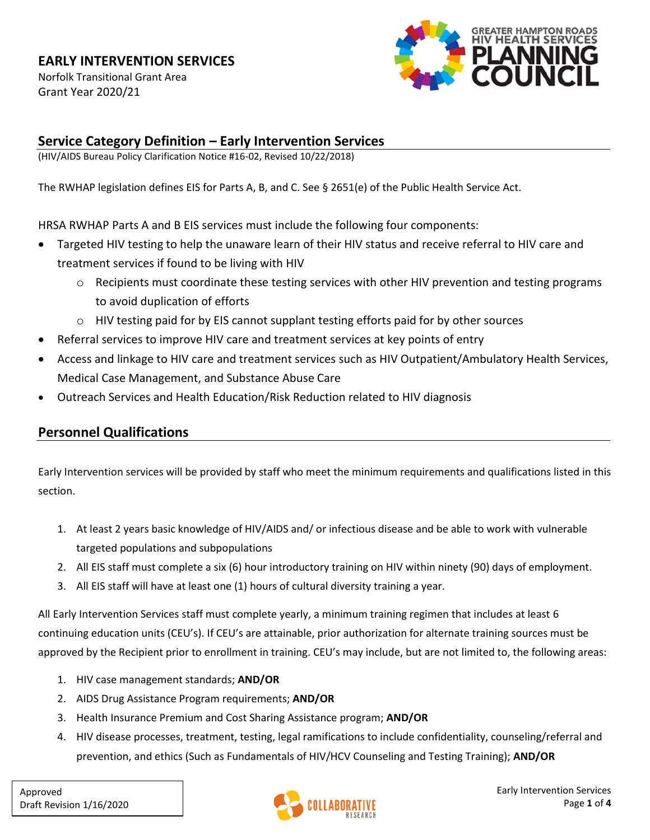Norfolk Transitional Grant Area Grant Year 2020/21



#### **Service Category Definition – Early Intervention Services**

(HIV/AIDS Bureau Policy Clarification Notice #16-02, Revised 10/22/2018)

The RWHAP legislation defines EIS for Parts A, B, and C. See § 2651(e) of the Public Health Service Act.

HRSA RWHAP Parts A and B EIS services must include the following four components:

- Targeted HIV testing to help the unaware learn of their HIV status and receive referral to HIV care and treatment services if found to be living with HIV
	- $\circ$  Recipients must coordinate these testing services with other HIV prevention and testing programs to avoid duplication of efforts
	- o HIV testing paid for by EIS cannot supplant testing efforts paid for by other sources
- Referral services to improve HIV care and treatment services at key points of entry
- Access and linkage to HIV care and treatment services such as HIV Outpatient/Ambulatory Health Services, Medical Case Management, and Substance Abuse Care
- Outreach Services and Health Education/Risk Reduction related to HIV diagnosis

### **Personnel Qualifications**

Early Intervention services will be provided by staff who meet the minimum requirements and qualifications listed in this section.

- 1. At least 2 years basic knowledge of HIV/AIDS and/ or infectious disease and be able to work with vulnerable targeted populations and subpopulations
- 2. All EIS staff must complete a six (6) hour introductory training on HIV within ninety (90) days of employment.
- 3. All EIS staff will have at least one (1) hours of cultural diversity training a year.

All Early Intervention Services staff must complete yearly, a minimum training regimen that includes at least 6 continuing education units (CEU's). If CEU's are attainable, prior authorization for alternate training sources must be approved by the Recipient prior to enrollment in training. CEU's may include, but are not limited to, the following areas:

- 1. HIV case management standards; **AND/OR**
- 2. AIDS Drug Assistance Program requirements; **AND/OR**
- 3. Health Insurance Premium and Cost Sharing Assistance program; **AND/OR**
- 4. HIV disease processes, treatment, testing, legal ramifications to include confidentiality, counseling/referral and prevention, and ethics (Such as Fundamentals of HIV/HCV Counseling and Testing Training); **AND/OR**

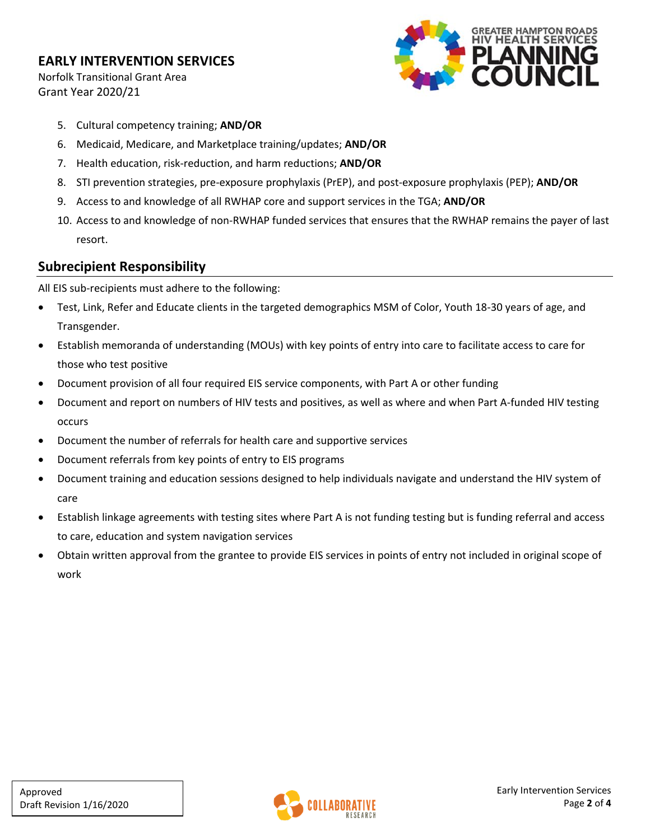Norfolk Transitional Grant Area Grant Year 2020/21



- 5. Cultural competency training; **AND/OR**
- 6. Medicaid, Medicare, and Marketplace training/updates; **AND/OR**
- 7. Health education, risk-reduction, and harm reductions; **AND/OR**
- 8. STI prevention strategies, pre-exposure prophylaxis (PrEP), and post-exposure prophylaxis (PEP); **AND/OR**
- 9. Access to and knowledge of all RWHAP core and support services in the TGA; **AND/OR**
- 10. Access to and knowledge of non-RWHAP funded services that ensures that the RWHAP remains the payer of last resort.

#### **Subrecipient Responsibility**

All EIS sub-recipients must adhere to the following:

- Test, Link, Refer and Educate clients in the targeted demographics MSM of Color, Youth 18-30 years of age, and Transgender.
- Establish memoranda of understanding (MOUs) with key points of entry into care to facilitate access to care for those who test positive
- Document provision of all four required EIS service components, with Part A or other funding
- Document and report on numbers of HIV tests and positives, as well as where and when Part A-funded HIV testing occurs
- Document the number of referrals for health care and supportive services
- Document referrals from key points of entry to EIS programs
- Document training and education sessions designed to help individuals navigate and understand the HIV system of care
- Establish linkage agreements with testing sites where Part A is not funding testing but is funding referral and access to care, education and system navigation services
- Obtain written approval from the grantee to provide EIS services in points of entry not included in original scope of work

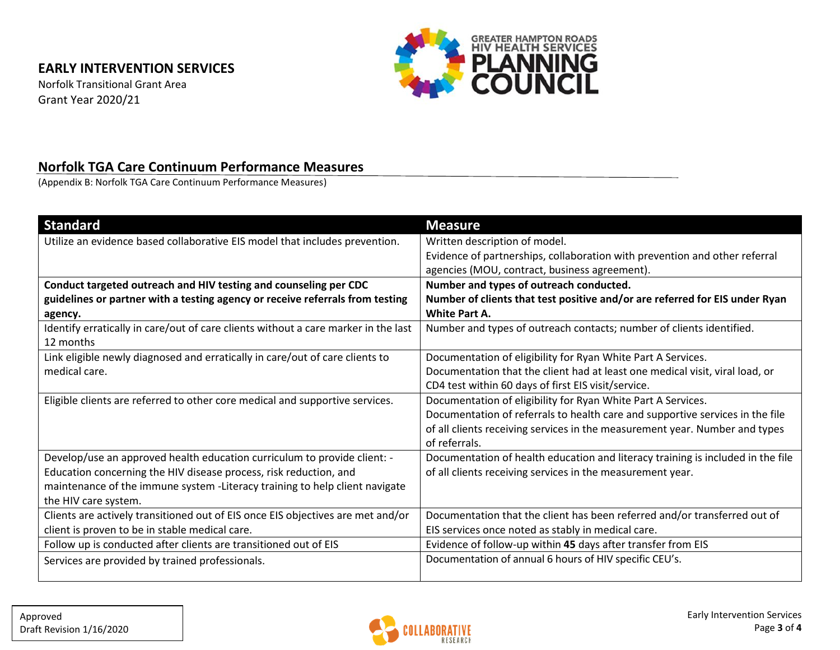Norfolk Transitional Grant Area Grant Year 2020/21



#### **Norfolk TGA Care Continuum Performance Measures**

(Appendix B: Norfolk TGA Care Continuum Performance Measures)

| <b>Standard</b>                                                                    | <b>Measure</b>                                                                  |  |  |
|------------------------------------------------------------------------------------|---------------------------------------------------------------------------------|--|--|
| Utilize an evidence based collaborative EIS model that includes prevention.        | Written description of model.                                                   |  |  |
|                                                                                    | Evidence of partnerships, collaboration with prevention and other referral      |  |  |
|                                                                                    | agencies (MOU, contract, business agreement).                                   |  |  |
| Conduct targeted outreach and HIV testing and counseling per CDC                   | Number and types of outreach conducted.                                         |  |  |
| guidelines or partner with a testing agency or receive referrals from testing      | Number of clients that test positive and/or are referred for EIS under Ryan     |  |  |
| agency.                                                                            | <b>White Part A.</b>                                                            |  |  |
| Identify erratically in care/out of care clients without a care marker in the last | Number and types of outreach contacts; number of clients identified.            |  |  |
| 12 months                                                                          |                                                                                 |  |  |
| Link eligible newly diagnosed and erratically in care/out of care clients to       | Documentation of eligibility for Ryan White Part A Services.                    |  |  |
| medical care.                                                                      | Documentation that the client had at least one medical visit, viral load, or    |  |  |
|                                                                                    | CD4 test within 60 days of first EIS visit/service.                             |  |  |
| Eligible clients are referred to other core medical and supportive services.       | Documentation of eligibility for Ryan White Part A Services.                    |  |  |
|                                                                                    | Documentation of referrals to health care and supportive services in the file   |  |  |
|                                                                                    | of all clients receiving services in the measurement year. Number and types     |  |  |
|                                                                                    | of referrals.                                                                   |  |  |
| Develop/use an approved health education curriculum to provide client: -           | Documentation of health education and literacy training is included in the file |  |  |
| Education concerning the HIV disease process, risk reduction, and                  | of all clients receiving services in the measurement year.                      |  |  |
| maintenance of the immune system -Literacy training to help client navigate        |                                                                                 |  |  |
| the HIV care system.                                                               |                                                                                 |  |  |
| Clients are actively transitioned out of EIS once EIS objectives are met and/or    | Documentation that the client has been referred and/or transferred out of       |  |  |
| client is proven to be in stable medical care.                                     | EIS services once noted as stably in medical care.                              |  |  |
| Follow up is conducted after clients are transitioned out of EIS                   | Evidence of follow-up within 45 days after transfer from EIS                    |  |  |
| Services are provided by trained professionals.                                    | Documentation of annual 6 hours of HIV specific CEU's.                          |  |  |
|                                                                                    |                                                                                 |  |  |